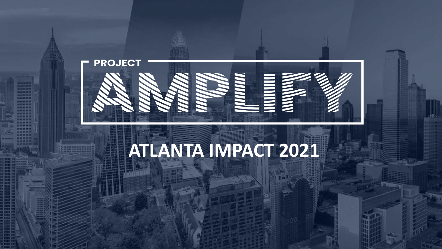

# **ATLANTA IMPACT 2021**

Copyright Copyright Copyright Copyright Copyright Copyright Copyright Copyright Copyright Copyright Copyright Copyright Copyright Copyright Copyright Copyright Copyright Copyright Copyright Copyright Copyright Copyright Co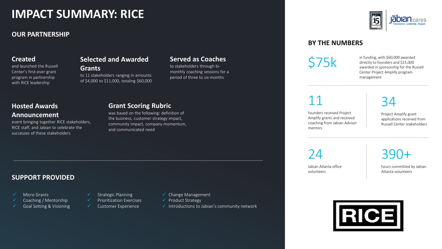### **IMPACT SUMMARY: RICE**

#### **OUR PARTNERSHIP**

#### **Created**

and launched the Russell Center's first-ever grant program in partnership with RICE leadership

#### **Selected and Awarded**

**Grants** to 11 stakeholders ranging in amounts of \$4,000 to \$11,000, totaling \$60,000

#### **Served as Coaches**

to stakeholders through bimonthly coaching sessions for a period of three to six months

#### **Hosted Awards Announcement**

event bringing together RICE stakeholders, RICE staff, and Jabian to celebrate the successes of these stakeholders

#### **Grant Scoring Rubric**

was based on the following: definition of the business, customer strategy impact, community impact, company momentum, and communicated need

#### **SUPPORT PROVIDED**

- Micro Grants
- Coaching / Mentorship
- Goal Setting & Visioning
- Strategic Planning ✓ Prioritization Exercises
	- ✓ Customer Experience
- ✓ Change Management
- ✓ Product Strategy
- $\checkmark$  Introductions to Jabian's community network



#### **BY THE NUMBERS**

 $575k$  in funding, with \$60,000 awarded<br>directly to founders and \$15,000<br>awarded in sponsorship for the Bu directly to founders and \$15,000 awarded in sponsorship for the Russell Center Project Amplify program management

11

founders received Project Amplify grants and received coaching from Jabian Advisor mentors

### 34

Project Amplify grant applications received from Russell Center stakeholders

 $74$ 

Jabian Atlanta office volunteers

hours committed by Jabian Atlanta volunteers

390+

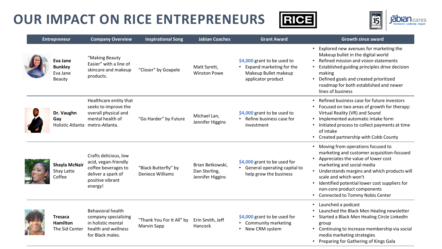



| <b>Entrepreneur</b> |                                                         | <b>Company Overview</b>                                                                                                       | <b>Inspirational Song</b>                       | <b>Jabian Coaches</b>                                 | <b>Grant Award</b>                                                                                    | <b>Growth since award</b>                                                                                                                                                                                                                                                                                                                             |
|---------------------|---------------------------------------------------------|-------------------------------------------------------------------------------------------------------------------------------|-------------------------------------------------|-------------------------------------------------------|-------------------------------------------------------------------------------------------------------|-------------------------------------------------------------------------------------------------------------------------------------------------------------------------------------------------------------------------------------------------------------------------------------------------------------------------------------------------------|
|                     | <b>Eva Jane</b><br><b>Bunkley</b><br>Eva Jane<br>Beauty | "Making Beauty<br>Easier" with a line of<br>skincare and makeup<br>products.                                                  | "Closer" by Goapele                             | Matt Syrett,<br><b>Winston Powe</b>                   | \$4,000 grant to be used to<br>Expand marketing for the<br>Makeup Bullet makeup<br>applicator product | • Explored new avenues for marketing the<br>Makeup bullet in the digital world<br>Refined mission and vision statements<br>Established guiding principles drive decision<br>making<br>• Defined goals and created prioritized<br>roadmap for both established and newer<br>lines of business                                                          |
|                     | Dr. Vaughn<br>Gay                                       | Healthcare entity that<br>seeks to improve the<br>overall physical and<br>mental health of<br>Holistic Atlanta metro-Atlanta. | "Go Harder" by Future                           | Michael Lan,<br>Jennifer Higgins                      | \$4,000 grant to be used to<br>• Refine business case for<br>investment                               | • Refined business case for future investors<br>• Focused on two areas of growth for therapy:<br>Virtual Reality (VR) and Sound<br>• Implemented automatic intake form<br>• Initiated process to collect payments at time<br>of intake<br>• Created partnership with Cobb County                                                                      |
|                     | <b>Shayla McNair</b><br>Shay Latte<br>Coffee            | Crafts delicious, low<br>acid, vegan-friendly<br>coffee beverages to<br>deliver a spark of<br>positive vibrant<br>energy!     | "Black Butterfly" by<br>Deniece Williams        | Brian Betkowski,<br>Dan Sterling,<br>Jennifer Higgins | \$4,000 grant to be used for<br>• General operating capital to<br>help grow the business              | • Moving from operations focused to<br>marketing and customer acquisition-focused<br>• Appreciates the value of lower cost<br>marketing and social media<br>• Understands margins and which products will<br>scale and which won't<br>Identified potential lower cost suppliers for<br>non-core product components<br>Connected to Tommy Nobis Center |
|                     | <b>Tresaca</b><br><b>Hamilton</b><br>The Sid Center     | <b>Behavioral health</b><br>company specializing<br>in holistic mental<br>health and wellness<br>for Black males.             | "Thank You For It All" by<br><b>Marvin Sapp</b> | Erin Smith, Jeff<br>Hancock                           | \$4,000 grant to be used for<br>• Community marketing<br>• New CRM system                             | • Launched a podcast<br>Launched the Black Men Healing newsletter<br>Started a Black Men Healing Circle LinkedIn<br>group<br>Continuing to increase membership via social<br>media marketing strategies<br>• Preparing for Gathering of Kings Gala                                                                                                    |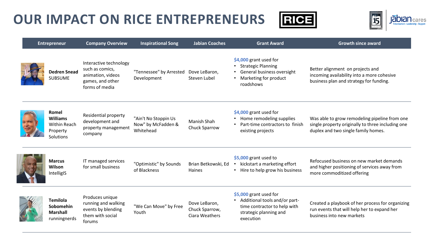



| <b>Entrepreneur</b> |                                                                   | <b>Company Overview</b>                                                                              | <b>Inspirational Song</b>                               | <b>Jabian Coaches</b>                             | <b>Grant Award</b>                                                                                                                          | <b>Growth since award</b>                                                                                                                 |
|---------------------|-------------------------------------------------------------------|------------------------------------------------------------------------------------------------------|---------------------------------------------------------|---------------------------------------------------|---------------------------------------------------------------------------------------------------------------------------------------------|-------------------------------------------------------------------------------------------------------------------------------------------|
|                     | <b>Dedren Snead</b><br><b>SUBSUME</b>                             | Interactive technology<br>such as comics,<br>animation, videos<br>games, and other<br>forms of media | "Tennessee" by Arrested<br>Development                  | Dove LeBaron,<br>Steven Lubel                     | \$4,000 grant used for<br><b>Strategic Planning</b><br>General business oversight<br>Marketing for product<br>roadshows                     | Better alignment on projects and<br>incoming availability into a more cohesive<br>business plan and strategy for funding.                 |
|                     | Romel<br><b>Williams</b><br>Within Reach<br>Property<br>Solutions | Residential property<br>development and<br>property management<br>company                            | "Ain't No Stoppin Us<br>Now" by McFadden &<br>Whitehead | Manish Shah<br>Chuck Sparrow                      | \$4,000 grant used for<br>Home remodeling supplies<br>$\bullet$<br>Part-time contractors to finish<br>existing projects                     | Was able to grow remodeling pipeline from one<br>single property originally to three including one<br>duplex and two single family homes. |
|                     | <b>Marcus</b><br>Wilson<br>IntelligIS                             | IT managed services<br>for small business                                                            | "Optimistic" by Sounds<br>of Blackness                  | Brian Betkowski, Ed<br>Haines                     | \$5,000 grant used to<br>kickstart a marketing effort<br>• Hire to help grow his business                                                   | Refocused business on new market demands<br>and higher positioning of services away from<br>more commoditized offering                    |
|                     | <b>Temilola</b><br>Sobomehin<br><b>Marshall</b><br>runningnerds   | Produces unique<br>running and walking<br>events by blending<br>them with social<br>forums           | "We Can Move" by Free<br>Youth                          | Dove LeBaron,<br>Chuck Sparrow,<br>Ciara Weathers | \$5,000 grant used for<br>Additional tools and/or part-<br>$\bullet$<br>time contractor to help with<br>strategic planning and<br>execution | Created a playbook of her process for organizing<br>run events that will help her to expand her<br>business into new markets              |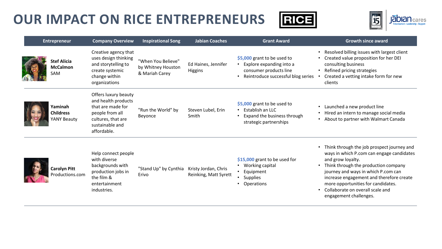



| <b>Entrepreneur</b> |                                              | <b>Company Overview</b>                                                                                                                     | <b>Inspirational Song</b>                                  | <b>Jabian Coaches</b>                         | <b>Grant Award</b>                                                                                                                   | <b>Growth since award</b>                                                                                                                                                                                                                                                                                                                   |
|---------------------|----------------------------------------------|---------------------------------------------------------------------------------------------------------------------------------------------|------------------------------------------------------------|-----------------------------------------------|--------------------------------------------------------------------------------------------------------------------------------------|---------------------------------------------------------------------------------------------------------------------------------------------------------------------------------------------------------------------------------------------------------------------------------------------------------------------------------------------|
|                     | <b>Stef Alicia</b><br><b>McCalmon</b><br>SAM | Creative agency that<br>uses design thinking<br>and storytelling to<br>create systemic<br>change within<br>organizations                    | "When You Believe"<br>by Whitney Houston<br>& Mariah Carey | Ed Haines, Jennifer<br>Higgins                | \$5,000 grant to be used to<br>Explore expanding into a<br>consumer products line<br>Reintroduce successful blog series<br>$\bullet$ | Resolved billing issues with largest client<br>Created value proposition for her DEI<br>consulting business<br>Refined pricing strategies<br>Created a vetting intake form for new<br>clients                                                                                                                                               |
|                     | Yaminah<br><b>Childress</b><br>YANY Beauty   | Offers luxury beauty<br>and health products<br>that are made for<br>people from all<br>cultures, that are<br>sustainable and<br>affordable. | "Run the World" by<br>Beyonce                              | Steven Lubel, Erin<br>Smith                   | \$5,000 grant to be used to<br>Establish an LLC<br>$\bullet$<br>Expand the business through<br>$\bullet$<br>strategic partnerships   | Launched a new product line<br>Hired an intern to manage social media<br>About to partner with Walmart Canada                                                                                                                                                                                                                               |
|                     | <b>Carolyn Pitt</b><br>Productions.com       | Help connect people<br>with diverse<br>backgrounds with<br>production jobs in<br>the film &<br>entertainment<br>industries.                 | "Stand Up" by Cynthia<br>Erivo                             | Kristy Jordan, Chris<br>Reinking, Matt Syrett | \$15,000 grant to be used for<br>Working capital<br>• Equipment<br>• Supplies<br>Operations                                          | Think through the job prospect journey and<br>ways in which P.com can engage candidates<br>and grow loyalty.<br>Think through the production company<br>journey and ways in which P.com can<br>increase engagement and therefore create<br>more opportunities for candidates.<br>Collaborate on overall scale and<br>engagement challenges. |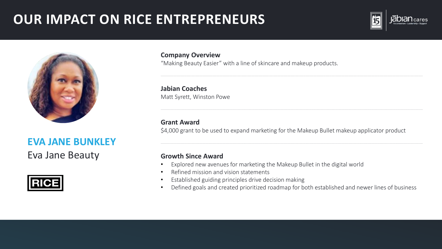



### **EVA JANE BUNKLEY**

Eva Jane Beauty



**Company Overview** 

"Making Beauty Easier" with a line of skincare and makeup products.

**Jabian Coaches** Matt Syrett, Winston Powe

#### **Grant Award**

\$4,000 grant to be used to expand marketing for the Makeup Bullet makeup applicator product

- Explored new avenues for marketing the Makeup Bullet in the digital world  $\bullet$
- Refined mission and vision statements  $\bullet$
- Established guiding principles drive decision making  $\bullet$
- Defined goals and created prioritized roadmap for both established and newer lines of business  $\bullet$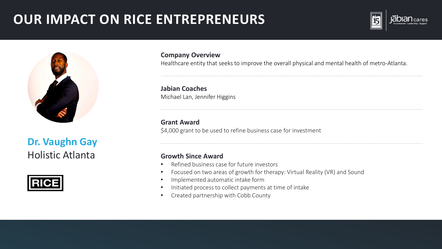



**Dr. Vaughn Gay Holistic Atlanta** 



**Company Overview** 

Healthcare entity that seeks to improve the overall physical and mental health of metro-Atlanta.

**Jabian Coaches** Michael Lan, Jennifer Higgins

**Grant Award** \$4,000 grant to be used to refine business case for investment

- Refined business case for future investors
- Focused on two areas of growth for therapy: Virtual Reality (VR) and Sound  $\bullet$
- Implemented automatic intake form  $\bullet$
- Initiated process to collect payments at time of intake  $\bullet$
- Created partnership with Cobb County  $\bullet$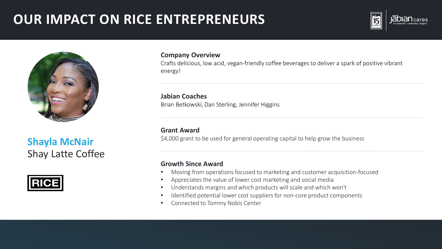



**Shayla McNair** Shay Latte Coffee



#### **Company Overview**

Crafts delicious, low acid, vegan-friendly coffee beverages to deliver a spark of positive vibrant energy!

**Jabian Coaches** Brian Betkowski, Dan Sterling, Jennifer Higgins

#### **Grant Award**

\$4,000 grant to be used for general operating capital to help grow the business

- Moving from operations focused to marketing and customer acquisition-focused
- Appreciates the value of lower cost marketing and social media
- Understands margins and which products will scale and which won't
- Identified potential lower cost suppliers for non-core product components
- Connected to Tommy Nobis Center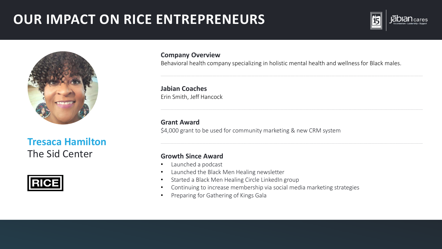



**Tresaca Hamilton** The Sid Center



#### **Company Overview**

Behavioral health company specializing in holistic mental health and wellness for Black males.

**Jabian Coaches** Erin Smith, Jeff Hancock

#### **Grant Award**

\$4,000 grant to be used for community marketing & new CRM system

- Launched a podcast  $\bullet$
- Launched the Black Men Healing newsletter  $\bullet$
- Started a Black Men Healing Circle LinkedIn group  $\bullet$
- Continuing to increase membership via social media marketing strategies  $\bullet$
- Preparing for Gathering of Kings Gala  $\bullet$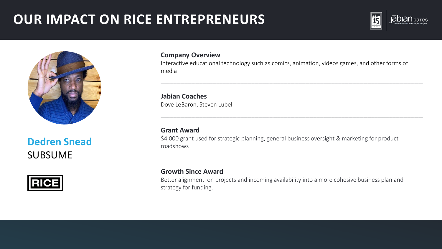



### **Dedren Snead SUBSUME**



#### **Company Overview**

Interactive educational technology such as comics, animation, videos games, and other forms of media

**Jabian Coaches** Dove LeBaron, Steven Lubel

#### **Grant Award**

\$4,000 grant used for strategic planning, general business oversight & marketing for product roadshows

#### **Growth Since Award**

Better alignment on projects and incoming availability into a more cohesive business plan and strategy for funding.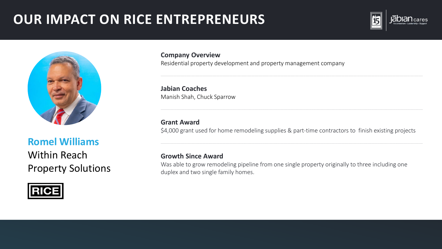



### **Romel Williams Within Reach Property Solutions**



**Company Overview** Residential property development and property management company

**Jabian Coaches** Manish Shah, Chuck Sparrow

**Grant Award** 

\$4,000 grant used for home remodeling supplies & part-time contractors to finish existing projects

#### **Growth Since Award**

Was able to grow remodeling pipeline from one single property originally to three including one duplex and two single family homes.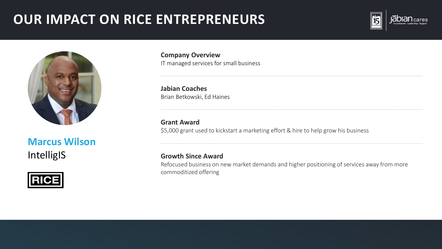



### **Marcus Wilson** IntelligIS



**Company Overview** IT managed services for small business

**Jabian Coaches** Brian Betkowski, Ed Haines

**Grant Award** \$5,000 grant used to kickstart a marketing effort & hire to help grow his business

#### **Growth Since Award**

Refocused business on new market demands and higher positioning of services away from more commoditized offering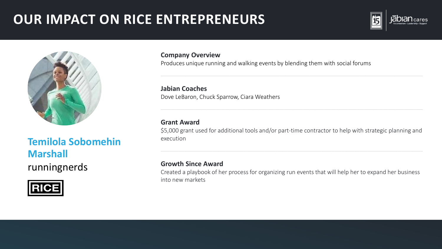



### **Temilola Sobomehin Marshall** runningnerds



**Company Overview** 

Produces unique running and walking events by blending them with social forums

**Jabian Coaches** Dove LeBaron, Chuck Sparrow, Ciara Weathers

#### **Grant Award**

\$5,000 grant used for additional tools and/or part-time contractor to help with strategic planning and execution

#### **Growth Since Award**

Created a playbook of her process for organizing run events that will help her to expand her business into new markets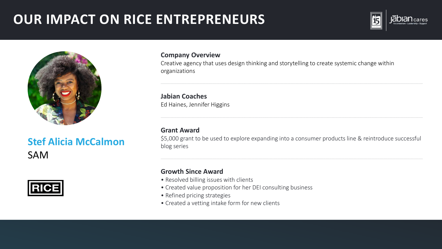



**Stef Alicia McCalmon SAM** 



#### **Company Overview**

Creative agency that uses design thinking and storytelling to create systemic change within organizations

**Jabian Coaches** Ed Haines, Jennifer Higgins

#### **Grant Award**

\$5,000 grant to be used to explore expanding into a consumer products line & reintroduce successful blog series

- Resolved billing issues with clients
- Created value proposition for her DEI consulting business
- Refined pricing strategies
- Created a vetting intake form for new clients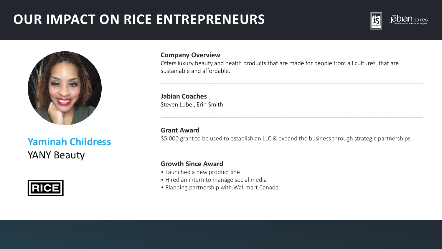



### **Yaminah Childress YANY Beauty**



#### **Company Overview**

Offers luxury beauty and health products that are made for people from all cultures, that are sustainable and affordable.

**Jabian Coaches** Steven Lubel, Erin Smith

**Grant Award** 

\$5,000 grant to be used to establish an LLC & expand the business through strategic partnerships

- · Launched a new product line
- · Hired an intern to manage social media
- Planning partnership with Wal-mart Canada